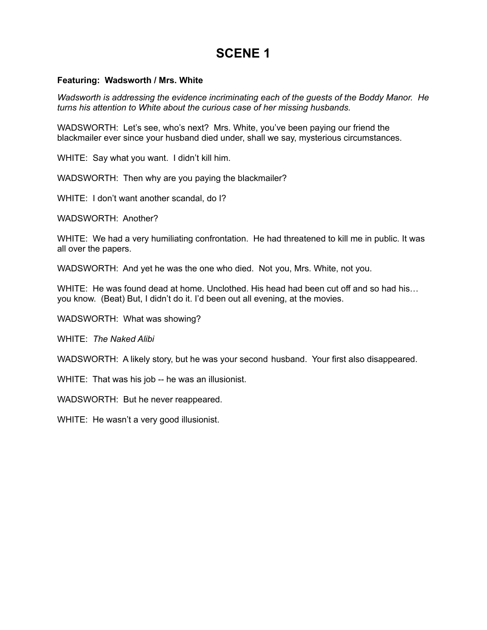### **Featuring: Wadsworth / Mrs. White**

*Wadsworth is addressing the evidence incriminating each of the guests of the Boddy Manor. He turns his attention to White about the curious case of her missing husbands.*

WADSWORTH: Let's see, who's next? Mrs. White, you've been paying our friend the blackmailer ever since your husband died under, shall we say, mysterious circumstances.

WHITE: Say what you want. I didn't kill him.

WADSWORTH: Then why are you paying the blackmailer?

WHITE: I don't want another scandal, do I?

WADSWORTH: Another?

WHITE: We had a very humiliating confrontation. He had threatened to kill me in public. It was all over the papers.

WADSWORTH: And yet he was the one who died. Not you, Mrs. White, not you.

WHITE: He was found dead at home. Unclothed. His head had been cut off and so had his... you know. (Beat) But, I didn't do it. I'd been out all evening, at the movies.

WADSWORTH: What was showing?

WHITE: *The Naked Alibi*

WADSWORTH: A likely story, but he was your second husband. Your first also disappeared.

WHITE: That was his job -- he was an illusionist.

WADSWORTH: But he never reappeared.

WHITE: He wasn't a very good illusionist.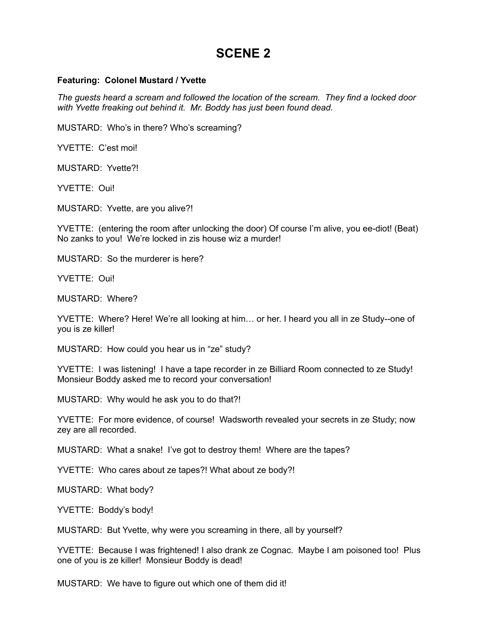#### **Featuring: Colonel Mustard / Yvette**

*The guests heard a scream and followed the location of the scream. They find a locked door with Yvette freaking out behind it. Mr. Boddy has just been found dead.*

MUSTARD: Who's in there? Who's screaming?

YVETTE: C'est moi!

MUSTARD: Yvette?!

YVETTE: Oui!

MUSTARD: Yvette, are you alive?!

YVETTE: (entering the room after unlocking the door) Of course I'm alive, you ee-diot! (Beat) No zanks to you! We're locked in zis house wiz a murder!

MUSTARD: So the murderer is here?

YVETTE: Oui!

MUSTARD: Where?

YVETTE: Where? Here! We're all looking at him… or her. I heard you all in ze Study--one of you is ze killer!

MUSTARD: How could you hear us in "ze" study?

YVETTE: I was listening! I have a tape recorder in ze Billiard Room connected to ze Study! Monsieur Boddy asked me to record your conversation!

MUSTARD: Why would he ask you to do that?!

YVETTE: For more evidence, of course! Wadsworth revealed your secrets in ze Study; now zey are all recorded.

MUSTARD: What a snake! I've got to destroy them! Where are the tapes?

YVETTE: Who cares about ze tapes?! What about ze body?!

MUSTARD: What body?

YVETTE: Boddy's body!

MUSTARD: But Yvette, why were you screaming in there, all by yourself?

YVETTE: Because I was frightened! I also drank ze Cognac. Maybe I am poisoned too! Plus one of you is ze killer! Monsieur Boddy is dead!

MUSTARD: We have to figure out which one of them did it!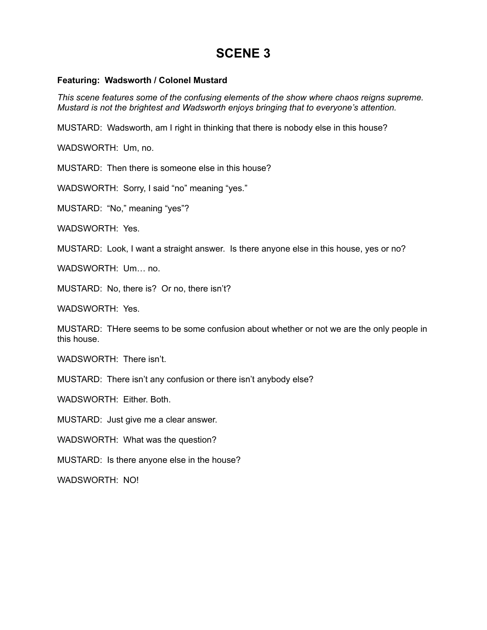### **Featuring: Wadsworth / Colonel Mustard**

*This scene features some of the confusing elements of the show where chaos reigns supreme. Mustard is not the brightest and Wadsworth enjoys bringing that to everyone's attention.*

MUSTARD: Wadsworth, am I right in thinking that there is nobody else in this house?

WADSWORTH: Um, no.

MUSTARD: Then there is someone else in this house?

WADSWORTH: Sorry, I said "no" meaning "yes."

MUSTARD: "No," meaning "yes"?

WADSWORTH: Yes.

MUSTARD: Look, I want a straight answer. Is there anyone else in this house, yes or no?

WADSWORTH: Um. no.

MUSTARD: No, there is? Or no, there isn't?

WADSWORTH: Yes.

MUSTARD: THere seems to be some confusion about whether or not we are the only people in this house.

WADSWORTH: There isn't.

MUSTARD: There isn't any confusion or there isn't anybody else?

WADSWORTH: Either. Both.

MUSTARD: Just give me a clear answer.

WADSWORTH: What was the question?

MUSTARD: Is there anyone else in the house?

WADSWORTH: NO!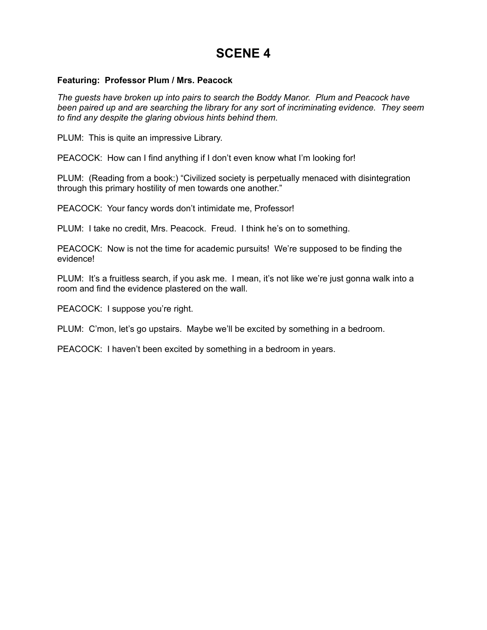#### **Featuring: Professor Plum / Mrs. Peacock**

*The guests have broken up into pairs to search the Boddy Manor. Plum and Peacock have been paired up and are searching the library for any sort of incriminating evidence. They seem to find any despite the glaring obvious hints behind them.*

PLUM: This is quite an impressive Library.

PEACOCK: How can I find anything if I don't even know what I'm looking for!

PLUM: (Reading from a book:) "Civilized society is perpetually menaced with disintegration through this primary hostility of men towards one another."

PEACOCK: Your fancy words don't intimidate me, Professor!

PLUM: I take no credit, Mrs. Peacock. Freud. I think he's on to something.

PEACOCK: Now is not the time for academic pursuits! We're supposed to be finding the evidence!

PLUM: It's a fruitless search, if you ask me. I mean, it's not like we're just gonna walk into a room and find the evidence plastered on the wall.

PEACOCK: I suppose you're right.

PLUM: C'mon, let's go upstairs. Maybe we'll be excited by something in a bedroom.

PEACOCK: I haven't been excited by something in a bedroom in years.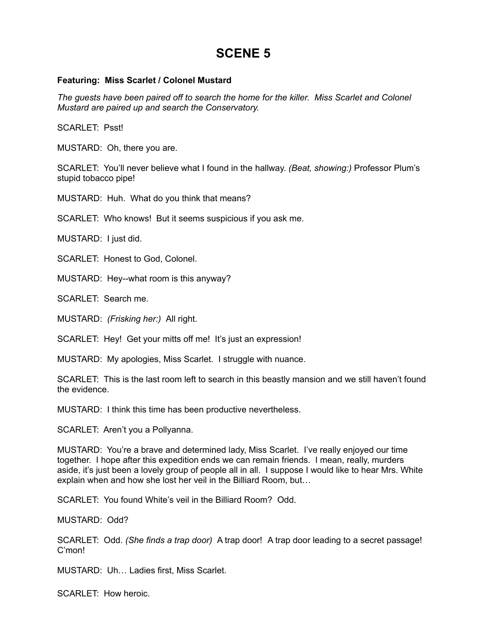#### **Featuring: Miss Scarlet / Colonel Mustard**

*The guests have been paired off to search the home for the killer. Miss Scarlet and Colonel Mustard are paired up and search the Conservatory.*

SCARLET: Psst!

MUSTARD: Oh, there you are.

SCARLET: You'll never believe what I found in the hallway. *(Beat, showing:)* Professor Plum's stupid tobacco pipe!

MUSTARD: Huh. What do you think that means?

SCARLET: Who knows! But it seems suspicious if you ask me.

MUSTARD: I just did.

SCARLET: Honest to God, Colonel.

MUSTARD: Hey--what room is this anyway?

SCARLET: Search me.

MUSTARD: *(Frisking her:)* All right.

SCARLET: Hey! Get your mitts off me! It's just an expression!

MUSTARD: My apologies, Miss Scarlet. I struggle with nuance.

SCARLET: This is the last room left to search in this beastly mansion and we still haven't found the evidence.

MUSTARD: I think this time has been productive nevertheless.

SCARLET: Aren't you a Pollyanna.

MUSTARD: You're a brave and determined lady, Miss Scarlet. I've really enjoyed our time together. I hope after this expedition ends we can remain friends. I mean, really, murders aside, it's just been a lovely group of people all in all. I suppose I would like to hear Mrs. White explain when and how she lost her veil in the Billiard Room, but…

SCARLET: You found White's veil in the Billiard Room? Odd.

MUSTARD: Odd?

SCARLET: Odd. *(She finds a trap door)* A trap door! A trap door leading to a secret passage! C'mon!

MUSTARD: Uh… Ladies first, Miss Scarlet.

SCARLET: How heroic.